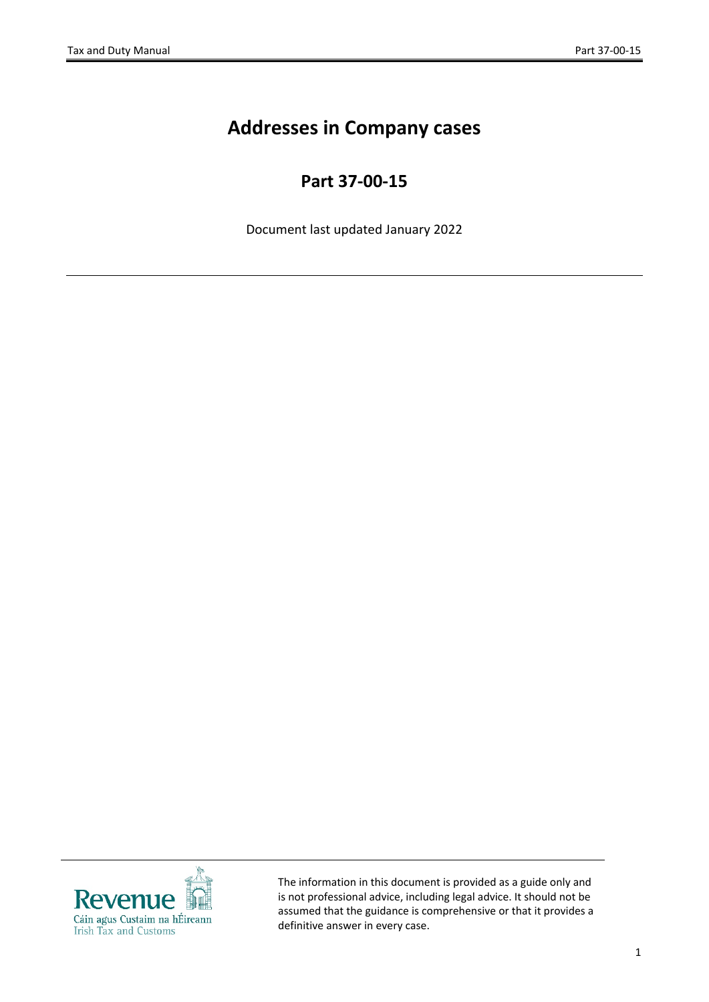## **Addresses in Company cases**

## **Part 37-00-15**

Document last updated January 2022



The information in this document is provided as a guide only and is not professional advice, including legal advice. It should not be assumed that the guidance is comprehensive or that it provides a definitive answer in every case.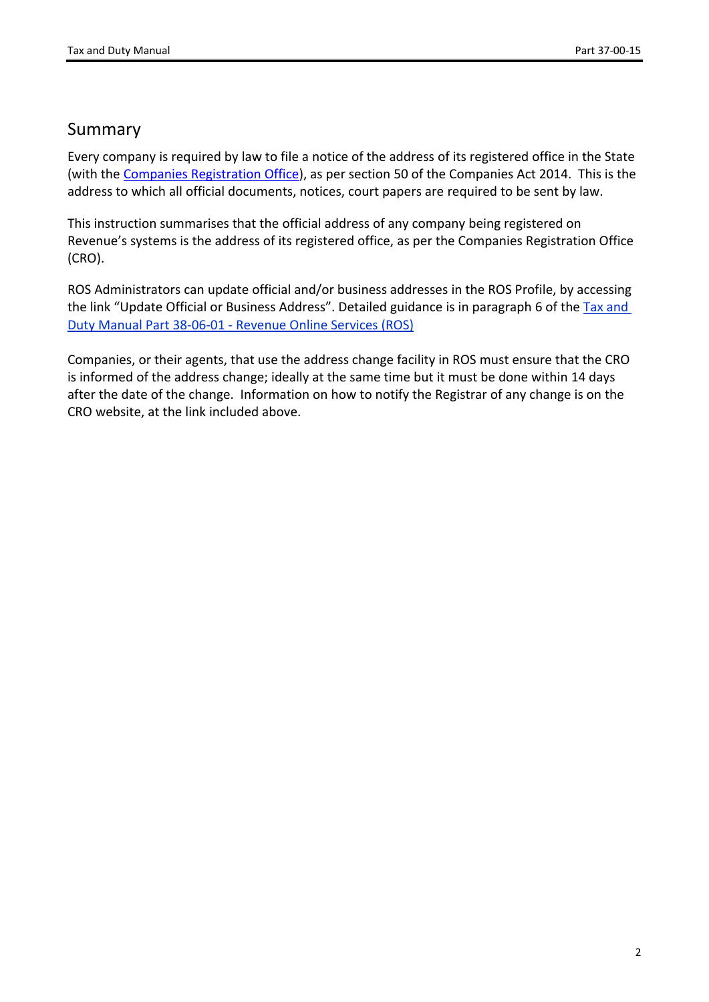## Summary

Every company is required by law to file a notice of the address of its registered office in the State (with the [Companies](https://www.cro.ie/en-ie/Post-Registration/Company/Address-Change) [Registration](https://www.cro.ie/en-ie/Post-Registration/Company/Address-Change) [Office](https://www.cro.ie/en-ie/Post-Registration/Company/Address-Change)), as per section 50 of the Companies Act 2014. This is the address to which all official documents, notices, court papers are required to be sent by law.

This instruction summarises that the official address of any company being registered on Revenue's systems is the address of its registered office, as per the Companies Registration Office (CRO).

ROS Administrators can update official and/or business addresses in the ROS Profile, by accessing the link "Update Official or Business Address". Detailed guidance is in paragraph 6 of the [Tax](https://www.revenue.ie/en/tax-professionals/tdm/income-tax-capital-gains-tax-corporation-tax/part-38/38-06-01.pdf) [and](https://www.revenue.ie/en/tax-professionals/tdm/income-tax-capital-gains-tax-corporation-tax/part-38/38-06-01.pdf) [Duty](https://www.revenue.ie/en/tax-professionals/tdm/income-tax-capital-gains-tax-corporation-tax/part-38/38-06-01.pdf) [Manual](https://www.revenue.ie/en/tax-professionals/tdm/income-tax-capital-gains-tax-corporation-tax/part-38/38-06-01.pdf) [Part](https://www.revenue.ie/en/tax-professionals/tdm/income-tax-capital-gains-tax-corporation-tax/part-38/38-06-01.pdf) [38-06-01](https://www.revenue.ie/en/tax-professionals/tdm/income-tax-capital-gains-tax-corporation-tax/part-38/38-06-01.pdf) [-](https://www.revenue.ie/en/tax-professionals/tdm/income-tax-capital-gains-tax-corporation-tax/part-38/38-06-01.pdf) [Revenue](https://www.revenue.ie/en/tax-professionals/tdm/income-tax-capital-gains-tax-corporation-tax/part-38/38-06-01.pdf) [Online](https://www.revenue.ie/en/tax-professionals/tdm/income-tax-capital-gains-tax-corporation-tax/part-38/38-06-01.pdf) [Services](https://www.revenue.ie/en/tax-professionals/tdm/income-tax-capital-gains-tax-corporation-tax/part-38/38-06-01.pdf) [\(ROS\)](https://www.revenue.ie/en/tax-professionals/tdm/income-tax-capital-gains-tax-corporation-tax/part-38/38-06-01.pdf)

Companies, or their agents, that use the address change facility in ROS must ensure that the CRO is informed of the address change; ideally at the same time but it must be done within 14 days after the date of the change. Information on how to notify the Registrar of any change is on the CRO website, at the link included above.